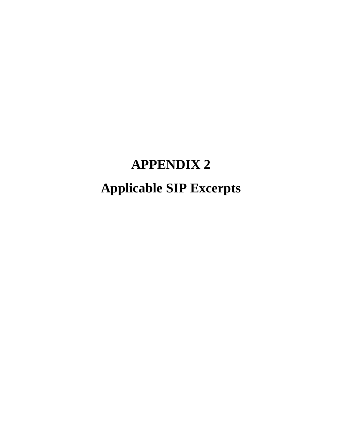# **APPENDIX 2 Applicable SIP Excerpts**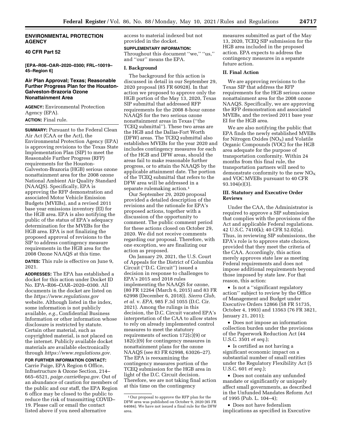#### **ENVIRONMENTAL PROTECTION AGENCY**

## **40 CFR Part 52**

**[EPA–R06–OAR–2020–0300; FRL–10019– 45–Region 6]** 

## **Air Plan Approval; Texas; Reasonable Further Progress Plan for the Houston-Galveston-Brazoria Ozone Nonattainment Area**

**AGENCY:** Environmental Protection Agency (EPA).

# **ACTION:** Final rule.

**SUMMARY:** Pursuant to the Federal Clean Air Act (CAA or the Act), the Environmental Protection Agency (EPA) is approving revisions to the Texas State Implementation Plan (SIP) to meet the Reasonable Further Progress (RFP) requirements for the Houston-Galveston-Brazoria (HGB) serious ozone nonattainment area for the 2008 ozone National Ambient Air Quality Standard (NAAQS). Specifically, EPA is approving the RFP demonstration and associated Motor Vehicle Emission Budgets (MVEBs), and a revised 2011 base year emissions inventory (EI) for the HGB area. EPA is also notifying the public of the status of EPA's adequacy determination for the MVEBs for the HGB area. EPA is not finalizing the proposed approval of revisions to the SIP to address contingency measure requirements in the HGB area for the 2008 Ozone NAAQS at this time.

**DATES:** This rule is effective on June 9, 2021.

**ADDRESSES:** The EPA has established a docket for this action under Docket ID No. EPA–R06–OAR–2020–0300. All documents in the docket are listed on the *<https://www.regulations.gov>* website. Although listed in the index, some information is not publicly available, *e.g.,* Confidential Business Information or other information whose disclosure is restricted by statute. Certain other material, such as copyrighted material, is not placed on the internet. Publicly available docket materials are available electronically through *[https://www.regulations.gov.](https://www.regulations.gov)* 

# **FOR FURTHER INFORMATION CONTACT:**

Carrie Paige, EPA Region 6 Office, Infrastructure & Ozone Section, 214– 665–6521, *[paige.carrie@epa.gov.](mailto:paige.carrie@epa.gov)* Out of an abundance of caution for members of the public and our staff, the EPA Region 6 office may be closed to the public to reduce the risk of transmitting COVID– 19. Please call or email the contact listed above if you need alternative

access to material indexed but not provided in the docket.

#### **SUPPLEMENTARY INFORMATION:**

Throughout this document ''we,'' ''us,'' and ''our'' means the EPA.

#### **I. Background**

The background for this action is discussed in detail in our September 29, 2020 proposal (85 FR 60928). In that action we proposed to approve only the HGB portion of the May 13, 2020, Texas SIP submittal that addressed RFP requirements for the 2008 8-hour ozone NAAQS for the two serious ozone nonattainment areas in Texas (''the TCEQ submittal''). These two areas are the HGB and the Dallas-Fort Worth (DFW) areas. The TCEQ submittal also establishes MVEBs for the year 2020 and includes contingency measures for each of the HGB and DFW areas, should the areas fail to make reasonable further progress, or to attain the NAAQS by the applicable attainment date. The portion of the TCEQ submittal that refers to the DFW area will be addressed in a separate rulemaking action.<sup>1</sup>

Our September 29, 2020 proposal provided a detailed description of the revisions and the rationale for EPA's proposed actions, together with a discussion of the opportunity to comment. The public comment period for these actions closed on October 29, 2020. We did not receive comments regarding our proposal. Therefore, with one exception, we are finalizing our action as proposed.

On January 29, 2021, the U.S. Court of Appeals for the District of Columbia Circuit (''D.C. Circuit'') issued a decision in response to challenges to EPA's 2015 and 2018 rules implementing the NAAQS for ozone, (80 FR 12264 (March 6, 2015) and 83 FR 62998 (December 6, 2018)). *Sierra Club, et al.* v. *EPA,* 985 F.3d 1055 (D.C. Cir. 2021). Among the rulings in this decision, the D.C. Circuit vacated EPA's interpretation of the CAA to allow states to rely on already implemented control measures to meet the statutory requirements of section 172(c)(9) or 182(c)(9) for contingency measures in nonattainment plans for the ozone NAAQS (see 83 FR 62998, 63026–27). The EPA is reexamining the contingency measures portion of the TCEQ submission for the HGB area in light of the D.C. Circuit decision. Therefore, we are not taking final action at this time on the contingency

measures submitted as part of the May 13, 2020, TCEQ SIP submission for the HGB area included in the proposed action. EPA expects to address the contingency measures in a separate future action.

#### **II. Final Action**

We are approving revisions to the Texas SIP that address the RFP requirements for the HGB serious ozone nonattainment area for the 2008 ozone NAAQS. Specifically, we are approving the RFP demonstration and associated MVEBs, and the revised 2011 base year EI for the HGB area.

We are also notifying the public that EPA finds the newly established MVEBs for Nitrogen Oxides  $(NO<sub>X</sub>)$  and Volatile Organic Compounds (VOC) for the HGB area adequate for the purpose of transportation conformity. Within 24 months from this final rule, the transportation partners will need to demonstrate conformity to the new  $\rm{NO_{X}}$ and VOC MVEBs pursuant to 40 CFR 93.104(e)(3).

## **III. Statutory and Executive Order Reviews**

Under the CAA, the Administrator is required to approve a SIP submission that complies with the provisions of the Act and applicable Federal regulations. 42 U.S.C. 7410(k); 40 CFR 52.02(a). Thus, in reviewing SIP submissions, the EPA's role is to approve state choices, provided that they meet the criteria of the CAA. Accordingly, this action merely approves state law as meeting Federal requirements and does not impose additional requirements beyond those imposed by state law. For that reason, this action:

• Is not a ''significant regulatory action'' subject to review by the Office of Management and Budget under Executive Orders 12866 (58 FR 51735, October 4, 1993) and 13563 (76 FR 3821, January 21, 2011);

• Does not impose an information collection burden under the provisions of the Paperwork Reduction Act (44 U.S.C. 3501 *et seq.*);

• Is certified as not having a significant economic impact on a substantial number of small entities under the Regulatory Flexibility Act (5 U.S.C. 601 *et seq.*);

• Does not contain any unfunded mandate or significantly or uniquely affect small governments, as described in the Unfunded Mandates Reform Act of 1995 (Pub. L. 104–4);

• Does not have federalism implications as specified in Executive

<sup>1</sup>Our proposal to approve the RFP plan for the DFW area was published on October 9, 2020 (85 FR 64084). We have not issued a final rule for the DFW area.